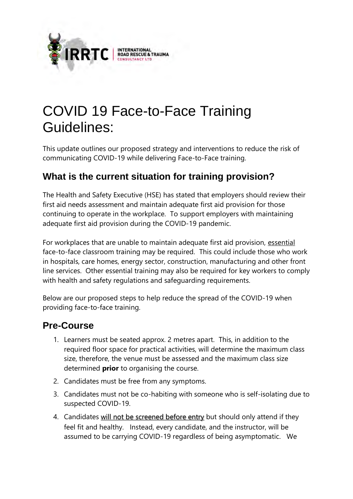

# COVID 19 Face-to-Face Training Guidelines:

This update outlines our proposed strategy and interventions to reduce the risk of communicating COVID-19 while delivering Face-to-Face training.

## **What is the current situation for training provision?**

The Health and Safety Executive (HSE) has stated that employers should review their first aid needs assessment and maintain adequate first aid provision for those continuing to operate in the workplace. To support employers with maintaining adequate first aid provision during the COVID-19 pandemic.

For workplaces that are unable to maintain adequate first aid provision, essential face-to-face classroom training may be required. This could include those who work in hospitals, care homes, energy sector, construction, manufacturing and other front line services. Other essential training may also be required for key workers to comply with health and safety regulations and safeguarding requirements.

Below are our proposed steps to help reduce the spread of the COVID-19 when providing face-to-face training.

### **Pre-Course**

- 1. Learners must be seated approx. 2 metres apart. This, in addition to the required floor space for practical activities, will determine the maximum class size, therefore, the venue must be assessed and the maximum class size determined **prior** to organising the course.
- 2. Candidates must be free from any symptoms.
- 3. Candidates must not be co-habiting with someone who is self-isolating due to suspected COVID-19.
- 4. Candidates will not be screened before entry but should only attend if they feel fit and healthy. Instead, every candidate, and the instructor, will be assumed to be carrying COVID-19 regardless of being asymptomatic. We